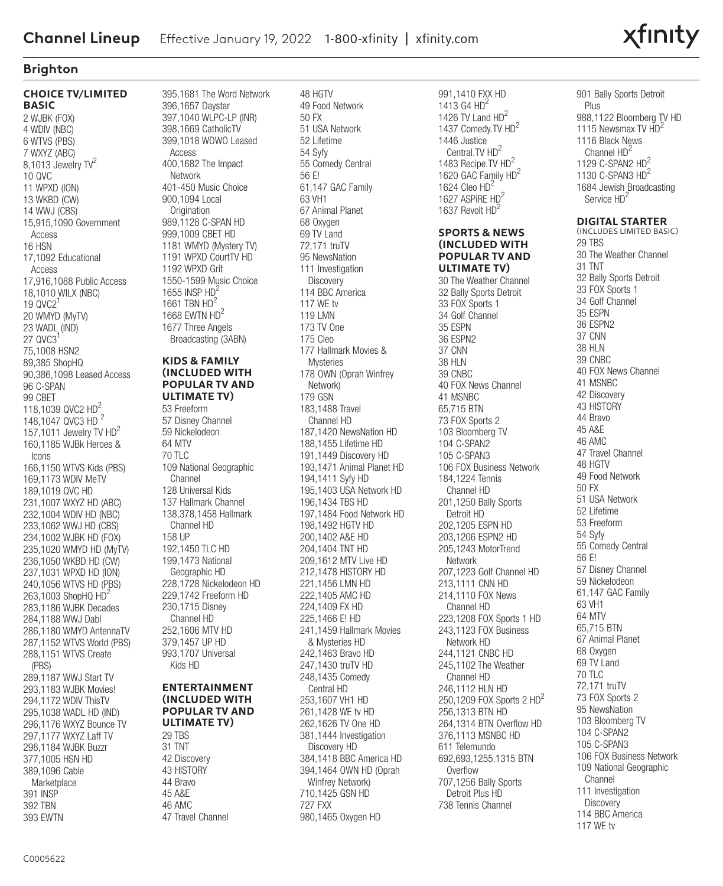# xfinity

# **Brighton**

#### **CHOICE TV/LIMITED BASIC** 2 WJBK (FOX) 4 WDIV (NBC) 6 WTVS (PBS) 7 WXYZ (ABC) 8,1013 Jewelry  $TV^2$ 10 QVC 11 WPXD (ION) 13 WKBD (CW) 14 WWJ (CBS) 15,915,1090 Government Access 16 HSN 17,1092 Educational Access 17,916,1088 Public Access 18,1010 WILX (NBC) 19  $0$ VC2<sup>1</sup> 20 WMYD (MyTV) 23 WADL (IND) 27 QVC3 75,1008 HSN2 89,385 ShopHQ 90,386,1098 Leased Access 96 C-SPAN 99 CBET 118,1039 QVC2 HD2 148,1047 QVC3 HD<sup>2</sup> 157,1011 Jewelry TV  $HD^2$ 160,1185 WJBk Heroes & Icons 166,1150 WTVS Kids (PBS) 169,1173 WDIV MeTV 189,1019 QVC HD 231,1007 WXYZ HD (ABC) 232,1004 WDIV HD (NBC) 233,1062 WWJ HD (CBS) 234,1002 WJBK HD (FOX) 235,1020 WMYD HD (MyTV) 236,1050 WKBD HD (CW) 237,1031 WPXD HD (ION) 240,1056 WTVS HD (PBS) 263,1003 ShopHQ HD<sup>2</sup> 283,1186 WJBK Decades 284,1188 WWJ Dabl 286,1180 WMYD AntennaTV 287,1152 WTVS World (PBS) 288,1151 WTVS Create (PBS) 289,1187 WWJ Start TV 293, 1183 W.IRK Movies! 294,1172 WDIV ThisTV 295,1038 WADL HD (IND) 296,1176 WXYZ Bounce TV 297,1177 WXYZ Laff TV 298,1184 WJBK Buzzr 377,1005 HSN HD 389,1096 Cable Marketplace 391 INSP 392 TBN 393 EWTN

395,1681 The Word Network 396,1657 Daystar 397,1040 WLPC-LP (INR) 398,1669 CatholicTV 399,1018 WDWO Leased Access 400,1682 The Impact Network 401-450 Music Choice 900,1094 Local **Origination** 989,1128 C-SPAN HD 999,1009 CBET HD 1181 WMYD (Mystery TV) 1191 WPXD CourtTV HD 1192 WPXD Grit 1550-1599 Music Choice 1655 INSP HD<sup>2</sup> 1661 TBN HD 1668 EWTN HD<sup>2</sup> 1677 Three Angels Broadcasting (3ABN) **KIDS & FAMILY** 

# **(INCLUDED WITH POPULAR TV AND ULTIMATE TV)**

53 Freeform 57 Disney Channel 59 Nickelodeon 64 MTV 70 TLC 109 National Geographic Channel 128 Universal Kids 137 Hallmark Channel 138,378,1458 Hallmark Channel HD 158 UP 192,1450 TLC HD 199,1473 National Geographic HD 228,1728 Nickelodeon HD 229,1742 Freeform HD 230,1715 Disney Channel HD 252,1606 MTV HD 379,1457 UP HD 993,1707 Universal Kids HD

## **ENTERTAINMENT (INCLUDED WITH POPULAR TV AND ULTIMATE TV)**

29 TBS 31 TNT 42 Discovery 43 HISTORY 44 Bravo 45 A&E 46 AMC 47 Travel Channel

48 HGTV 49 Food Network 50 FX 51 USA Network 52 Lifetime 54 Syfy 55 Comedy Central 56 E! 61,147 GAC Family 63 VH1 67 Animal Planet 68 Oxygen 69 TV Land 72,171 truTV 95 NewsNation 111 Investigation **Discovery** 114 BBC America 117 WE tv 119 LMN 173 TV One 175 Cleo 177 Hallmark Movies & Mysteries 178 OWN (Oprah Winfrey Network) 179 GSN 183,1488 Travel Channel HD 187,1420 NewsNation HD 188,1455 Lifetime HD 191,1449 Discovery HD 193,1471 Animal Planet HD 194,1411 Syfy HD 195,1403 USA Network HD 196,1434 TBS HD 197,1484 Food Network HD 198,1492 HGTV HD 200,1402 A&E HD 204,1404 TNT HD 209,1612 MTV Live HD 212,1478 HISTORY HD 221,1456 LMN HD 222,1405 AMC HD 224,1409 FX HD 225,1466 E! HD 241,1459 Hallmark Movies & Mysteries HD 242,1463 Bravo HD 247,1430 truTV HD 248,1435 Comedy Central HD 253,1607 VH1 HD 261,1428 WE tv HD 262,1626 TV One HD 381,1444 Investigation Discovery HD 384,1418 BBC America HD 394,1464 OWN HD (Oprah Winfrey Network) 710,1425 GSN HD 727 FXX 980,1465 Oxygen HD

991,1410 FXX HD 1413 G4 HD<sup>2</sup> 1426 TV Land HD<sup>2</sup> 1437 Comedy.TV HD<sup>2</sup> 1446 Justice Central.TV HD<sup>2</sup> 1483 Recipe.TV HD2 1620 GAC Family HD<sup>2</sup> 1624 Cleo HD<sup>2</sup> 1627 ASPiRE HD<sup>2</sup> 1637 Revolt HD<sup>2</sup>

#### **SPORTS & NEWS (INCLUDED WITH POPULAR TV AND ULTIMATE TV)**

30 The Weather Channel 32 Bally Sports Detroit 33 FOX Sports 1 34 Golf Channel 35 ESPN 36 ESPN2 37 CNN 38 HLN 39 CNBC 40 FOX News Channel 41 MSNBC 65,715 BTN 73 FOX Sports 2 103 Bloomberg TV 104 C-SPAN2 105 C-SPAN3 106 FOX Business Network 184,1224 Tennis Channel HD 201,1250 Bally Sports Detroit HD 202,1205 ESPN HD 203,1206 ESPN2 HD 205,1243 MotorTrend Network 207,1223 Golf Channel HD 213,1111 CNN HD 214,1110 FOX News Channel HD 223,1208 FOX Sports 1 HD 243,1123 FOX Business Network HD 244,1121 CNBC HD 245,1102 The Weather Channel HD 246,1112 HLN HD 250,1209 FOX Sports 2  $HD<sup>2</sup>$ 256,1313 BTN HD 264,1314 BTN Overflow HD 376,1113 MSNBC HD 611 Telemundo 692,693,1255,1315 BTN Overflow 707,1256 Bally Sports Detroit Plus HD 738 Tennis Channel

901 Bally Sports Detroit Plus 988,1122 Bloomberg TV HD 1115 Newsmax TV HD<sup>2</sup> 1116 Black News Channel HD<sup>2</sup> 1129 C-SPAN2 HD2 1130 C-SPAN3 HD<sup>2</sup> 1684 Jewish Broadcasting Service HD<sup>2</sup>

### **DIGITAL STARTER**

(INCLUDES LIMITED BASIC) 29 TBS 30 The Weather Channel 31 TNT 32 Bally Sports Detroit 33 FOX Sports 1 34 Golf Channel 35 ESPN 36 ESPN2 37 CNN 38 HLN 39 CNBC 40 FOX News Channel 41 MSNBC 42 Discovery 43 HISTORY 44 Bravo 45 A&E 46 AMC 47 Travel Channel 48 HGTV 49 Food Network 50 FX 51 USA Network 52 Lifetime 53 Freeform 54 Syfy 55 Comedy Central 56 E! 57 Disney Channel 59 Nickelodeon 61,147 GAC Family 63 VH1 64 MTV 65,715 BTN 67 Animal Planet 68 Oxygen 69 TV Land 70 TLC 72,171 truTV 73 FOX Sports 2 95 NewsNation 103 Bloomberg TV 104 C-SPAN2 105 C-SPAN3 106 FOX Business Network 109 National Geographic **Channel** 111 Investigation **Discovery** 114 BBC America 117 WE tv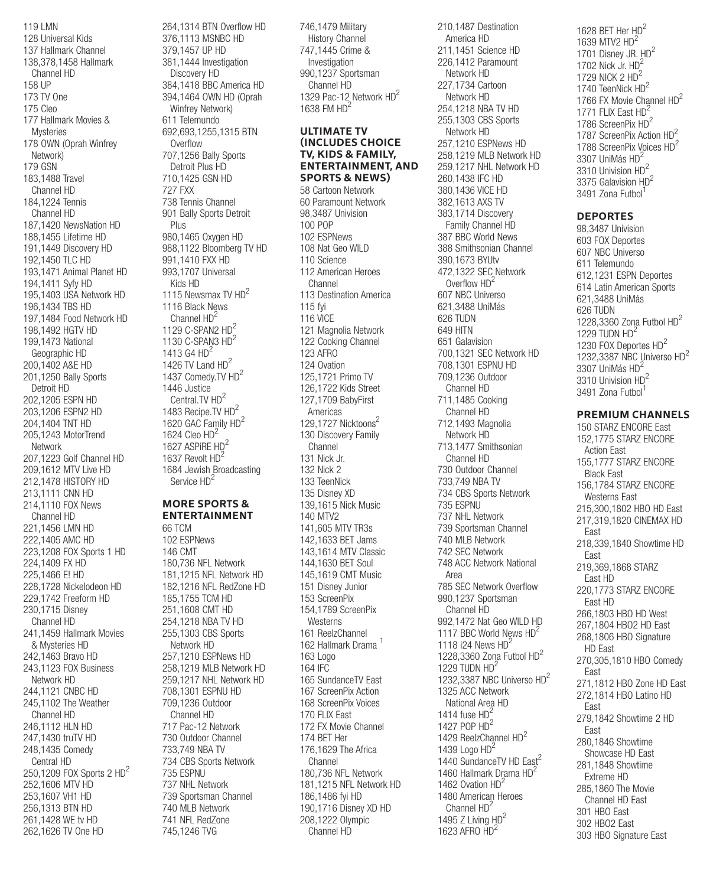119 LMN 128 Universal Kids 137 Hallmark Channel 138,378,1458 Hallmark Channel HD 158 UP 173 TV One 175 Cleo 177 Hallmark Movies & Mysteries 178 OWN (Oprah Winfrey Network) 179 GSN 183,1488 Travel Channel HD 184,1224 Tennis Channel HD 187,1420 NewsNation HD 188,1455 Lifetime HD 191,1449 Discovery HD 192,1450 TLC HD 193,1471 Animal Planet HD 194,1411 Syfy HD 195,1403 USA Network HD 196,1434 TBS HD 197,1484 Food Network HD 198,1492 HGTV HD 199,1473 National Geographic HD 200,1402 A&E HD 201,1250 Bally Sports Detroit HD 202,1205 ESPN HD 203,1206 ESPN2 HD 204,1404 TNT HD 205,1243 MotorTrend Network 207,1223 Golf Channel HD 209,1612 MTV Live HD 212,1478 HISTORY HD 213,1111 CNN HD 214,1110 FOX News Channel HD 221,1456 LMN HD 222,1405 AMC HD 223,1208 FOX Sports 1 HD 224,1409 FX HD 225,1466 E! HD 228,1728 Nickelodeon HD 229,1742 Freeform HD 230,1715 Disney Channel HD 241,1459 Hallmark Movies & Mysteries HD 242,1463 Bravo HD 243,1123 FOX Business Network HD 244,1121 CNBC HD 245,1102 The Weather Channel HD 246,1112 HLN HD 247,1430 truTV HD 248,1435 Comedy Central HD 250,1209 FOX Sports 2 HD<sup>2</sup> 252,1606 MTV HD 253,1607 VH1 HD 256,1313 BTN HD 261,1428 WE tv HD 262,1626 TV One HD

264,1314 BTN Overflow HD 376,1113 MSNBC HD 379,1457 UP HD 381,1444 Investigation Discovery HD 384,1418 BBC America HD 394,1464 OWN HD (Oprah Winfrey Network) 611 Telemundo 692,693,1255,1315 BTN **Overflow** 707,1256 Bally Sports Detroit Plus HD 710,1425 GSN HD 727 FXX 738 Tennis Channel 901 Bally Sports Detroit Plus 980,1465 Oxygen HD 988,1122 Bloomberg TV HD 991,1410 FXX HD 993,1707 Universal Kids HD 1115 Newsmax TV HD<sup>2</sup> 1116 Black News Channel HD<sup>2</sup> 1129  $C$ -SPAN2  $HD<sup>2</sup>$ 1130 C-SPAN3 HD<sup>2</sup> 1413 G4 HD<sup>2</sup> 1426 TV Land HD<sup>2</sup> 1437 Comedy.TV HD2 1446 Justice Central.TV HD<sup>2</sup> 1483 Recipe.TV HD2 1620 GAC Family HD<sup>2</sup> 1624 Cleo  $HD<sup>2</sup>$ 1627 ASPIRE HD<sup>2</sup> 1637 Revolt HD<sup>2</sup> 1684 Jewish Broadcasting Service HD<sup>2</sup> **MORE SPORTS & ENTERTAINMENT** 66 TCM

102 ESPNews 146 CMT 180,736 NFL Network 181,1215 NFL Network HD 182,1216 NFL RedZone HD 185,1755 TCM HD 251,1608 CMT HD 254,1218 NBA TV HD 255,1303 CBS Sports Network HD 257,1210 ESPNews HD 258,1219 MLB Network HD 259,1217 NHL Network HD 708,1301 ESPNU HD 709,1236 Outdoor Channel HD 717 Pac-12 Network 730 Outdoor Channel 733,749 NBA TV 734 CBS Sports Network 735 ESPNU 737 NHL Network 739 Sportsman Channel 740 MLB Network 741 NFL RedZone 745,1246 TVG

 History Channel 747,1445 Crime & Investigation 990,1237 Sportsman Channel HD 1329 Pac-12 Network HD<sup>2</sup> 1638 FM HD<sup>2</sup> **ULTIMATE TV (INCLUDES CHOICE TV, KIDS & FAMILY, ENTERTAINMENT, AND SPORTS & NEWS)** 58 Cartoon Network 60 Paramount Network 98,3487 Univision 100 POP 102 ESPNews 108 Nat Geo WILD 110 Science 112 American Heroes Channel 113 Destination America 115 fyi 116 VICE 121 Magnolia Network 122 Cooking Channel 123 AFRO 124 Ovation 125,1721 Primo TV 126,1722 Kids Street 127,1709 BabyFirst Americas 129,1727 Nicktoons<sup>2</sup> 130 Discovery Family Channel 131 Nick Jr. 132 Nick 2 133 TeenNick 135 Disney XD 139,1615 Nick Music 140 MTV2 141,605 MTV TR3s 142,1633 BET Jams 143,1614 MTV Classic 144,1630 BET Soul 145,1619 CMT Music 151 Disney Junior 153 ScreenPix 154,1789 ScreenPix Westerns 161 ReelzChannel 162 Hallmark Drama <sup>1</sup> 163 Logo 164 IFC 165 SundanceTV East 167 ScreenPix Action 168 ScreenPix Voices 170 FLIX East 172 FX Movie Channel 174 BET Her 176,1629 The Africa Channel 180,736 NFL Network 181,1215 NFL Network HD 186,1486 fyi HD 190,1716 Disney XD HD 208,1222 Olympic Channel HD

746,1479 Military

210,1487 Destination America HD 211,1451 Science HD 226,1412 Paramount Network HD 227,1734 Cartoon Network HD 254,1218 NBA TV HD 255,1303 CBS Sports Network HD 257,1210 ESPNews HD 258,1219 MLB Network HD 259,1217 NHL Network HD 260,1438 IFC HD 380,1436 VICE HD 382,1613 AXS TV 383,1714 Discovery Family Channel HD 387 BBC World News 388 Smithsonian Channel 390,1673 BYUtv 472,1322 SEC Network Overflow HD<sup>2</sup> 607 NBC Universo 621,3488 UniMás 626 TUDN 649 HITN 651 Galavision 700,1321 SEC Network HD 708,1301 ESPNU HD 709,1236 Outdoor Channel HD 711,1485 Cooking Channel HD 712,1493 Magnolia Network HD 713,1477 Smithsonian Channel HD 730 Outdoor Channel 733,749 NBA TV 734 CBS Sports Network 735 ESPNU 737 NHL Network 739 Sportsman Channel 740 MLB Network 742 SEC Network 748 ACC Network National Area 785 SEC Network Overflow 990,1237 Sportsman Channel HD 992,1472 Nat Geo WILD HD 1117 BBC World News HD<sup>2</sup> 1118 i24 News HD<sup>2</sup> 1228,3360 Zona Futbol  $HD<sup>2</sup>$ 1229 TUDN HD<sup>2</sup> 1232,3387 NBC Universo HD<sup>2</sup> 1325 ACC Network National Area HD 1414 fuse  $HD^2$ 1427 POP HD2 1429 ReelzChannel HD<sup>2</sup> 1439 Logo  $HD^2$ 1440 SundanceTV HD East<sup>2</sup> 1460 Hallmark Drama HD<sup>2</sup> 1462 Ovation HD<sup>2</sup> 1480 American Heroes Channel HD<sup>2</sup> 1495 Z Living  $HD<sup>2</sup>$ 

1623 AFRO HD<sup>2</sup>

1628 BFT Her HD<sup>2</sup> 1639 MTV2 HD<sup>2</sup> 1701 Disney JR. HD<sup>2</sup> 1702 Nick Jr.  $HD^2$ 1729 NICK 2 HD<sup>2</sup> 1740 TeenNick HD<sup>2</sup> 1766 FX Movie Channel HD<sup>2</sup> 1771 FLIX East HD<sup>2</sup> 1786 ScreenPix HD<sup>2</sup> 1787 ScreenPix Action HD<sup>2</sup> 1788 ScreenPix Voices HD<sup>2</sup> 3307 UniMás HD<sup>2</sup> 3310 Univision HD2 3375 Galavision HD2 3491 Zona Futbol1

## **DEPORTES**

98,3487 Univision 603 FOX Deportes 607 NBC Universo 611 Telemundo 612,1231 ESPN Deportes 614 Latin American Sports 621,3488 UniMás 626 TUDN 1228,3360 Zona Futbol HD<sup>2</sup> 1229 TUDN  $HD<sup>2</sup>$ 1230 FOX Deportes HD<sup>2</sup> 1232,3387 NBC Universo HD2 3307 UniMás HD2 3310 Univision HD<sup>2</sup> 3491 Zona Futbol<sup>1</sup>

# **PREMIUM CHANNELS**

150 STARZ ENCORE East 152,1775 STARZ ENCORE Action East 155,1777 STARZ ENCORE Black East 156,1784 STARZ ENCORE Westerns East 215,300,1802 HBO HD East 217,319,1820 CINEMAX HD East 218,339,1840 Showtime HD East 219,369,1868 STARZ East HD 220,1773 STARZ ENCORE East HD 266,1803 HBO HD West 267,1804 HBO2 HD East 268,1806 HBO Signature HD East 270,305,1810 HBO Comedy East 271,1812 HBO Zone HD East 272,1814 HBO Latino HD East 279,1842 Showtime 2 HD East 280,1846 Showtime Showcase HD East 281,1848 Showtime Extreme HD 285,1860 The Movie Channel HD East 301 HBO East 302 HBO2 East 303 HBO Signature East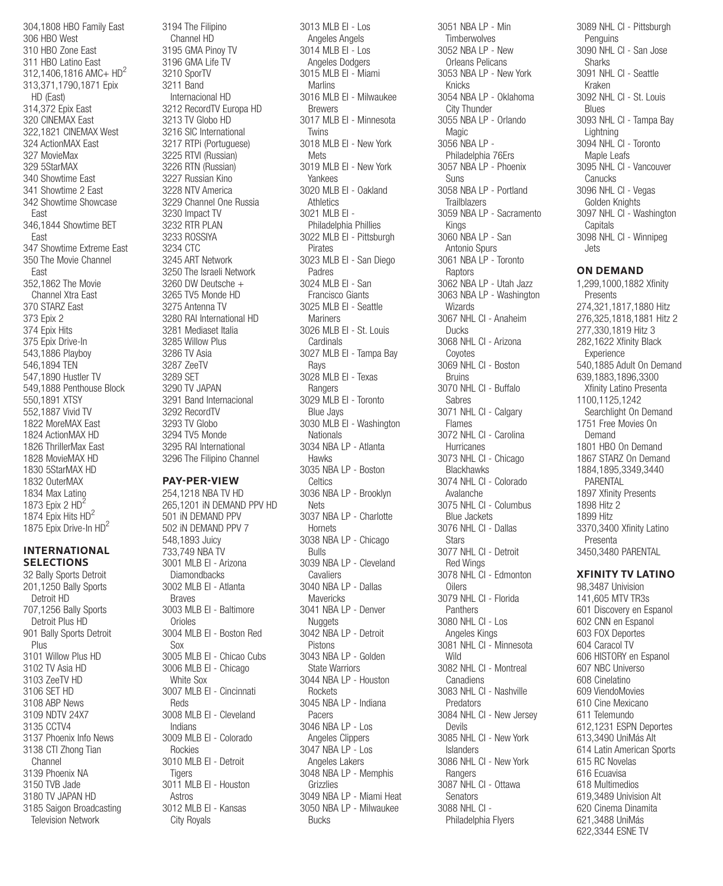304,1808 HBO Family East 306 HBO West 310 HBO Zone East 311 HBO Latino East 312,1406,1816 AMC+ HD2 313,371,1790,1871 Epix HD (East) 314,372 Epix East 320 CINEMAX East 322,1821 CINEMAX West 324 ActionMAX East 327 MovieMax 329 5StarMAX 340 Showtime East 341 Showtime 2 East 342 Showtime Showcase East 346,1844 Showtime BET East 347 Showtime Extreme East 350 The Movie Channel East 352,1862 The Movie Channel Xtra East 370 STARZ East 373 Epix 2 374 Epix Hits 375 Epix Drive-In 543,1886 Playboy 546,1894 TEN 547,1890 Hustler TV 549,1888 Penthouse Block 550,1891 XTSY 552,1887 Vivid TV 1822 MoreMAX East 1824 ActionMAX HD 1826 ThrillerMax East 1828 MovieMAX HD 1830 5StarMAX HD 1832 OuterMAX 1834 Max Latino 1873 Epix 2  $HD<sup>2</sup>$ 1874 Epix Hits HD2 1875 Epix Drive-In HD<sup>2</sup>

## **INTERNATIONAL SELECTIONS**

32 Bally Sports Detroit 201,1250 Bally Sports Detroit HD 707,1256 Bally Sports Detroit Plus HD 901 Bally Sports Detroit Plus 3101 Willow Plus HD 3102 TV Asia HD 3103 ZeeTV HD 3106 SET HD 3108 ABP News 3109 NDTV 24X7 3135 CCTV4 3137 Phoenix Info News 3138 CTI Zhong Tian Channel 3139 Phoenix NA 3150 TVB Jade 3180 TV JAPAN HD 3185 Saigon Broadcasting Television Network

3194 The Filipino Channel HD 3195 GMA Pinoy TV 3196 GMA Life TV 3210 SporTV 3211 Band Internacional HD 3212 RecordTV Europa HD 3213 TV Globo HD 3216 SIC International 3217 RTPi (Portuguese) 3225 RTVI (Russian) 3226 RTN (Russian) 3227 Russian Kino 3228 NTV America 3229 Channel One Russia 3230 Impact TV 3232 RTR PLAN 3233 ROSSIYA 3234 CTC 3245 ART Network 3250 The Israeli Network 3260 DW Deutsche + 3265 TV5 Monde HD 3275 Antenna TV 3280 RAI International HD 3281 Mediaset Italia 3285 Willow Plus 3286 TV Asia 3287 ZeeTV 3289 SET 3290 TV JAPAN 3291 Band Internacional 3292 RecordTV 3293 TV Globo 3294 TV5 Monde 3295 RAI International 3296 The Filipino Channel

## **PAY-PER-VIEW**

254,1218 NBA TV HD 265,1201 iN DEMAND PPV HD 501 iN DEMAND PPV 502 iN DEMAND PPV 7 548,1893 Juicy 733,749 NBA TV 3001 MLB EI - Arizona **Diamondbacks** 3002 MLB EI - Atlanta Braves 3003 MLB EI - Baltimore **Orioles** 3004 MLB EI - Boston Red Sox 3005 MLB EI - Chicao Cubs 3006 MLB EI - Chicago White Sox 3007 MLB EI - Cincinnati Reds 3008 MLB EI - Cleveland Indians 3009 MLB EI - Colorado Rockies 3010 MLB EI - Detroit **Tigers** 3011 MLB EI - Houston Astros 3012 MLB EI - Kansas City Royals

3013 MLB EI - Los Angeles Angels 3014 MLB EI - Los Angeles Dodgers 3015 MLB EI - Miami **Marlins** 3016 MLB EI - Milwaukee Brewers 3017 MLB EI - Minnesota Twins 3018 MLB EI - New York **Mets** 3019 MLB EI - New York Yankees 3020 MLB EI - Oakland **Athletics** 3021 MLB EI - Philadelphia Phillies 3022 MLB EI - Pittsburgh Pirates 3023 MLB EI - San Diego Padres 3024 MLB EI - San Francisco Giants 3025 MLB EI - Seattle **Mariners** 3026 MLB EI - St. Louis Cardinals 3027 MLB EI - Tampa Bay Rays 3028 MLB EI - Texas Rangers 3029 MLB EI - Toronto Blue Jays 3030 MLB EI - Washington Nationals 3034 NBA LP - Atlanta Hawks 3035 NBA LP - Boston **Celtics** 3036 NBA LP - Brooklyn Nets 3037 NBA LP - Charlotte **Hornets** 3038 NBA LP - Chicago Bulls 3039 NBA LP - Cleveland **Cavaliers** 3040 NBA LP - Dallas **Mavericks** 3041 NBA LP - Denver Nuggets 3042 NBA LP - Detroit Pistons 3043 NBA LP - Golden State Warriors 3044 NBA LP - Houston **Rockets** 3045 NBA LP - Indiana Pacers 3046 NBA LP - Los Angeles Clippers 3047 NBA LP - Los Angeles Lakers 3048 NBA LP - Memphis Grizzlies 3049 NBA LP - Miami Heat 3050 NBA LP - Milwaukee Bucks

3051 NBA LP - Min **Timberwolves** 3052 NBA LP - New Orleans Pelicans 3053 NBA LP - New York Knicks 3054 NBA LP - Oklahoma City Thunder 3055 NBA LP - Orlando Magic 3056 NBA LP - Philadelphia 76Ers 3057 NBA LP - Phoenix Suns 3058 NBA LP - Portland **Trailblazers** 3059 NBA LP - Sacramento Kings 3060 NBA LP - San Antonio Spurs 3061 NBA LP - Toronto Raptors 3062 NBA LP - Utah Jazz 3063 NBA LP - Washington Wizards 3067 NHL CI - Anaheim Ducks 3068 NHL CI - Arizona Coyotes 3069 NHL CI - Boston Bruins 3070 NHL CI - Buffalo Sabres 3071 NHL CI - Calgary Flames 3072 NHL CI - Carolina Hurricanes 3073 NHL CI - Chicago **Blackhawks** 3074 NHL CI - Colorado Avalanche 3075 NHL CI - Columbus Blue Jackets 3076 NHL CI - Dallas **Stars** 3077 NHL CI - Detroit Red Wings 3078 NHL CI - Edmonton **Oilers** 3079 NHL CI - Florida **Panthers** 3080 NHL CI - Los Angeles Kings 3081 NHL CI - Minnesota Wild 3082 NHL CI - Montreal **Canadiens** 3083 NHL CI - Nashville Predators 3084 NHL CI - New Jersey Devils 3085 NHL CI - New York Islanders 3086 NHL CI - New York **Rangers** 3087 NHL CI - Ottawa **Senators** 3088 NHL CI - Philadelphia Flyers

3089 NHL CI - Pittsburgh Penguins 3090 NHL CI - San Jose **Sharks** 3091 NHL CI - Seattle Kraken 3092 NHL CI - St. Louis Blues 3093 NHL CI - Tampa Bay Lightning 3094 NHL CI - Toronto Maple Leafs 3095 NHL CI - Vancouver **Canucks** 3096 NHL CI - Vegas Golden Knights 3097 NHL CI - Washington **Capitals** 3098 NHL CI - Winnipeg Jets

#### **ON DEMAND**

1,299,1000,1882 Xfinity Presents 274,321,1817,1880 Hitz 276,325,1818,1881 Hitz 2 277,330,1819 Hitz 3 282,1622 Xfinity Black Experience 540,1885 Adult On Demand 639,1883,1896,3300 Xfinity Latino Presenta 1100,1125,1242 Searchlight On Demand 1751 Free Movies On Demand 1801 HBO On Demand 1867 STARZ On Demand 1884,1895,3349,3440 PARENTAL 1897 Xfinity Presents 1898 Hitz 2 1899 Hitz 3370,3400 Xfinity Latino Presenta 3450,3480 PARENTAL

# **XFINITY TV LATINO**

98,3487 Univision 141,605 MTV TR3s 601 Discovery en Espanol 602 CNN en Espanol 603 FOX Deportes 604 Caracol TV 606 HISTORY en Espanol 607 NBC Universo 608 Cinelatino 609 ViendoMovies 610 Cine Mexicano 611 Telemundo 612,1231 ESPN Deportes 613,3490 UniMás Alt 614 Latin American Sports 615 RC Novelas 616 Ecuavisa 618 Multimedios 619,3489 Univision Alt 620 Cinema Dinamita 621,3488 UniMás 622,3344 ESNE TV